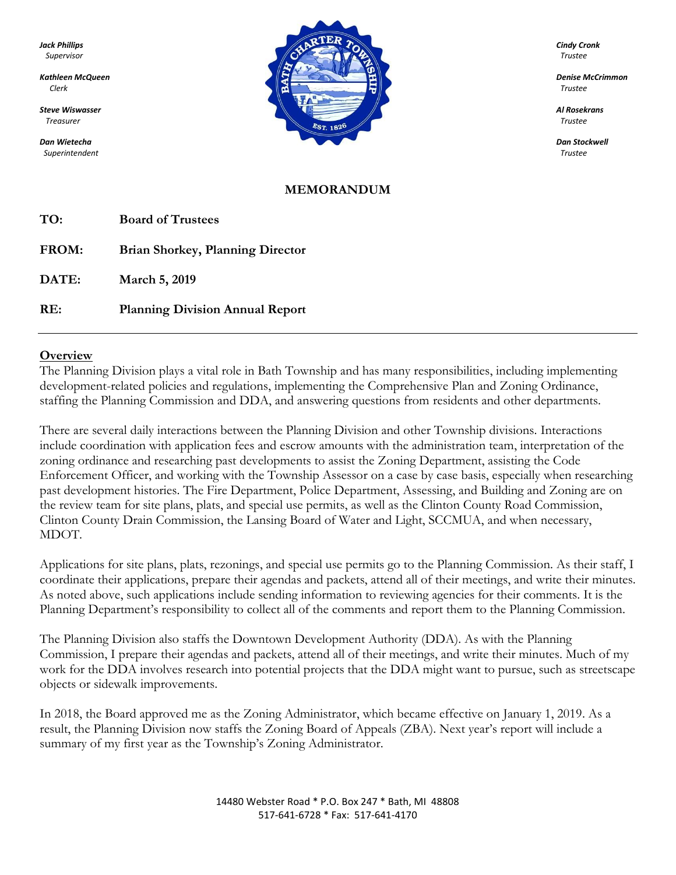*Superintendent Trustee*



#### **MEMORANDUM**

| TO:   | <b>Board of Trustees</b>                |
|-------|-----------------------------------------|
| FROM: | <b>Brian Shorkey, Planning Director</b> |
| DATE: | March 5, 2019                           |
| RE:   | <b>Planning Division Annual Report</b>  |

#### **Overview**

The Planning Division plays a vital role in Bath Township and has many responsibilities, including implementing development-related policies and regulations, implementing the Comprehensive Plan and Zoning Ordinance, staffing the Planning Commission and DDA, and answering questions from residents and other departments.

There are several daily interactions between the Planning Division and other Township divisions. Interactions include coordination with application fees and escrow amounts with the administration team, interpretation of the zoning ordinance and researching past developments to assist the Zoning Department, assisting the Code Enforcement Officer, and working with the Township Assessor on a case by case basis, especially when researching past development histories. The Fire Department, Police Department, Assessing, and Building and Zoning are on the review team for site plans, plats, and special use permits, as well as the Clinton County Road Commission, Clinton County Drain Commission, the Lansing Board of Water and Light, SCCMUA, and when necessary, MDOT.

Applications for site plans, plats, rezonings, and special use permits go to the Planning Commission. As their staff, I coordinate their applications, prepare their agendas and packets, attend all of their meetings, and write their minutes. As noted above, such applications include sending information to reviewing agencies for their comments. It is the Planning Department's responsibility to collect all of the comments and report them to the Planning Commission.

The Planning Division also staffs the Downtown Development Authority (DDA). As with the Planning Commission, I prepare their agendas and packets, attend all of their meetings, and write their minutes. Much of my work for the DDA involves research into potential projects that the DDA might want to pursue, such as streetscape objects or sidewalk improvements.

In 2018, the Board approved me as the Zoning Administrator, which became effective on January 1, 2019. As a result, the Planning Division now staffs the Zoning Board of Appeals (ZBA). Next year's report will include a summary of my first year as the Township's Zoning Administrator.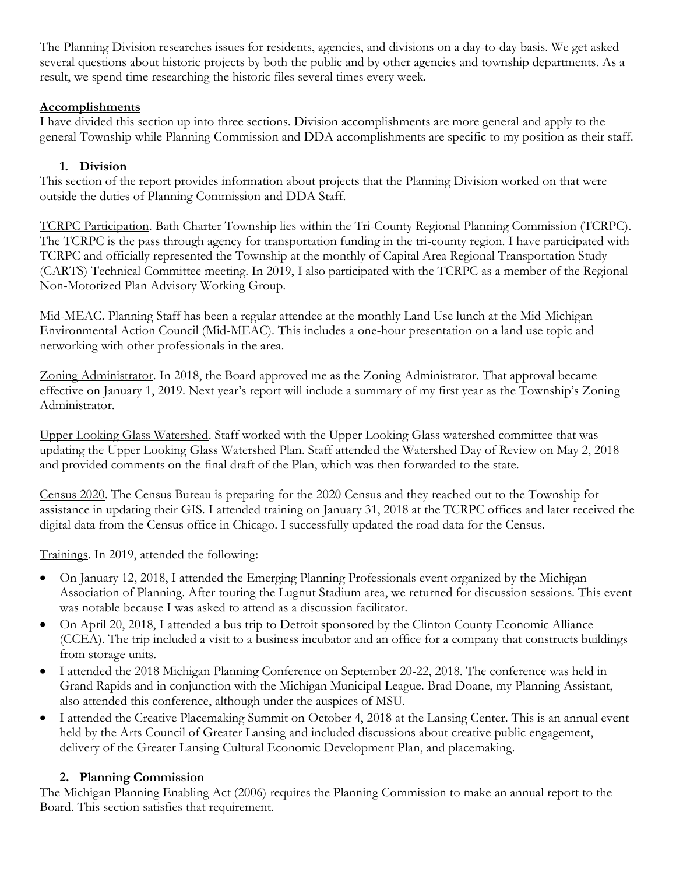The Planning Division researches issues for residents, agencies, and divisions on a day-to-day basis. We get asked several questions about historic projects by both the public and by other agencies and township departments. As a result, we spend time researching the historic files several times every week.

## **Accomplishments**

I have divided this section up into three sections. Division accomplishments are more general and apply to the general Township while Planning Commission and DDA accomplishments are specific to my position as their staff.

# **1. Division**

This section of the report provides information about projects that the Planning Division worked on that were outside the duties of Planning Commission and DDA Staff.

TCRPC Participation. Bath Charter Township lies within the Tri-County Regional Planning Commission (TCRPC). The TCRPC is the pass through agency for transportation funding in the tri-county region. I have participated with TCRPC and officially represented the Township at the monthly of Capital Area Regional Transportation Study (CARTS) Technical Committee meeting. In 2019, I also participated with the TCRPC as a member of the Regional Non-Motorized Plan Advisory Working Group.

Mid-MEAC. Planning Staff has been a regular attendee at the monthly Land Use lunch at the Mid-Michigan Environmental Action Council (Mid-MEAC). This includes a one-hour presentation on a land use topic and networking with other professionals in the area.

Zoning Administrator. In 2018, the Board approved me as the Zoning Administrator. That approval became effective on January 1, 2019. Next year's report will include a summary of my first year as the Township's Zoning Administrator.

Upper Looking Glass Watershed. Staff worked with the Upper Looking Glass watershed committee that was updating the Upper Looking Glass Watershed Plan. Staff attended the Watershed Day of Review on May 2, 2018 and provided comments on the final draft of the Plan, which was then forwarded to the state.

Census 2020. The Census Bureau is preparing for the 2020 Census and they reached out to the Township for assistance in updating their GIS. I attended training on January 31, 2018 at the TCRPC offices and later received the digital data from the Census office in Chicago. I successfully updated the road data for the Census.

Trainings. In 2019, attended the following:

- On January 12, 2018, I attended the Emerging Planning Professionals event organized by the Michigan Association of Planning. After touring the Lugnut Stadium area, we returned for discussion sessions. This event was notable because I was asked to attend as a discussion facilitator.
- On April 20, 2018, I attended a bus trip to Detroit sponsored by the Clinton County Economic Alliance (CCEA). The trip included a visit to a business incubator and an office for a company that constructs buildings from storage units.
- I attended the 2018 Michigan Planning Conference on September 20-22, 2018. The conference was held in Grand Rapids and in conjunction with the Michigan Municipal League. Brad Doane, my Planning Assistant, also attended this conference, although under the auspices of MSU.
- I attended the Creative Placemaking Summit on October 4, 2018 at the Lansing Center. This is an annual event held by the Arts Council of Greater Lansing and included discussions about creative public engagement, delivery of the Greater Lansing Cultural Economic Development Plan, and placemaking.

#### **2. Planning Commission**

The Michigan Planning Enabling Act (2006) requires the Planning Commission to make an annual report to the Board. This section satisfies that requirement.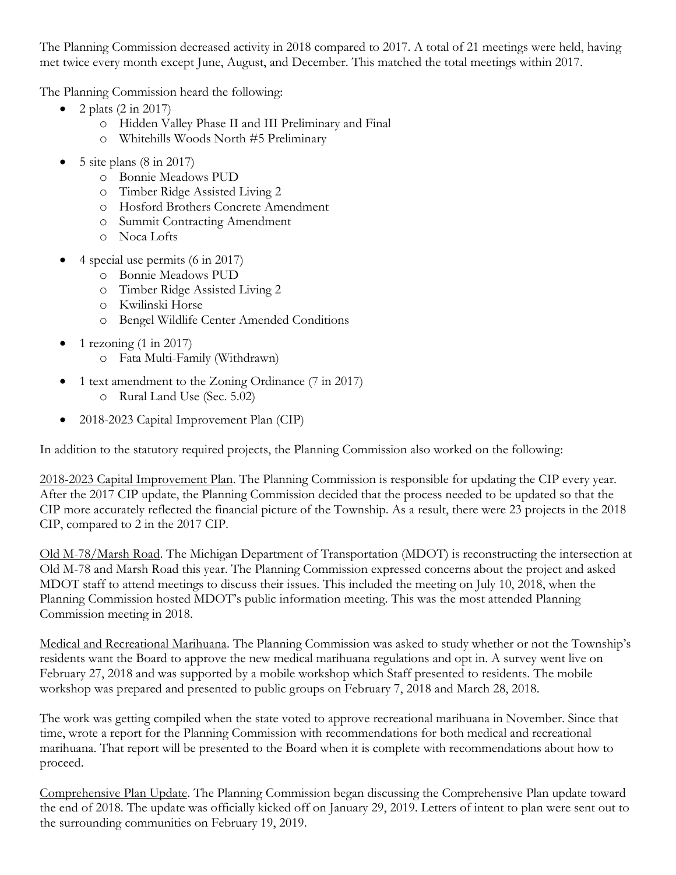The Planning Commission decreased activity in 2018 compared to 2017. A total of 21 meetings were held, having met twice every month except June, August, and December. This matched the total meetings within 2017.

The Planning Commission heard the following:

- $\bullet$  2 plats (2 in 2017)
	- o Hidden Valley Phase II and III Preliminary and Final
	- o Whitehills Woods North #5 Preliminary
- $\bullet$  5 site plans (8 in 2017)
	- o Bonnie Meadows PUD
	- o Timber Ridge Assisted Living 2
	- o Hosford Brothers Concrete Amendment
	- o Summit Contracting Amendment
	- o Noca Lofts
- 4 special use permits (6 in 2017)
	- o Bonnie Meadows PUD
	- o Timber Ridge Assisted Living 2
	- o Kwilinski Horse
	- o Bengel Wildlife Center Amended Conditions
- 1 rezoning (1 in 2017)
	- o Fata Multi-Family (Withdrawn)
- 1 text amendment to the Zoning Ordinance (7 in 2017) o Rural Land Use (Sec. 5.02)
- 2018-2023 Capital Improvement Plan (CIP)

In addition to the statutory required projects, the Planning Commission also worked on the following:

2018-2023 Capital Improvement Plan. The Planning Commission is responsible for updating the CIP every year. After the 2017 CIP update, the Planning Commission decided that the process needed to be updated so that the CIP more accurately reflected the financial picture of the Township. As a result, there were 23 projects in the 2018 CIP, compared to 2 in the 2017 CIP.

Old M-78/Marsh Road. The Michigan Department of Transportation (MDOT) is reconstructing the intersection at Old M-78 and Marsh Road this year. The Planning Commission expressed concerns about the project and asked MDOT staff to attend meetings to discuss their issues. This included the meeting on July 10, 2018, when the Planning Commission hosted MDOT's public information meeting. This was the most attended Planning Commission meeting in 2018.

Medical and Recreational Marihuana. The Planning Commission was asked to study whether or not the Township's residents want the Board to approve the new medical marihuana regulations and opt in. A survey went live on February 27, 2018 and was supported by a mobile workshop which Staff presented to residents. The mobile workshop was prepared and presented to public groups on February 7, 2018 and March 28, 2018.

The work was getting compiled when the state voted to approve recreational marihuana in November. Since that time, wrote a report for the Planning Commission with recommendations for both medical and recreational marihuana. That report will be presented to the Board when it is complete with recommendations about how to proceed.

Comprehensive Plan Update. The Planning Commission began discussing the Comprehensive Plan update toward the end of 2018. The update was officially kicked off on January 29, 2019. Letters of intent to plan were sent out to the surrounding communities on February 19, 2019.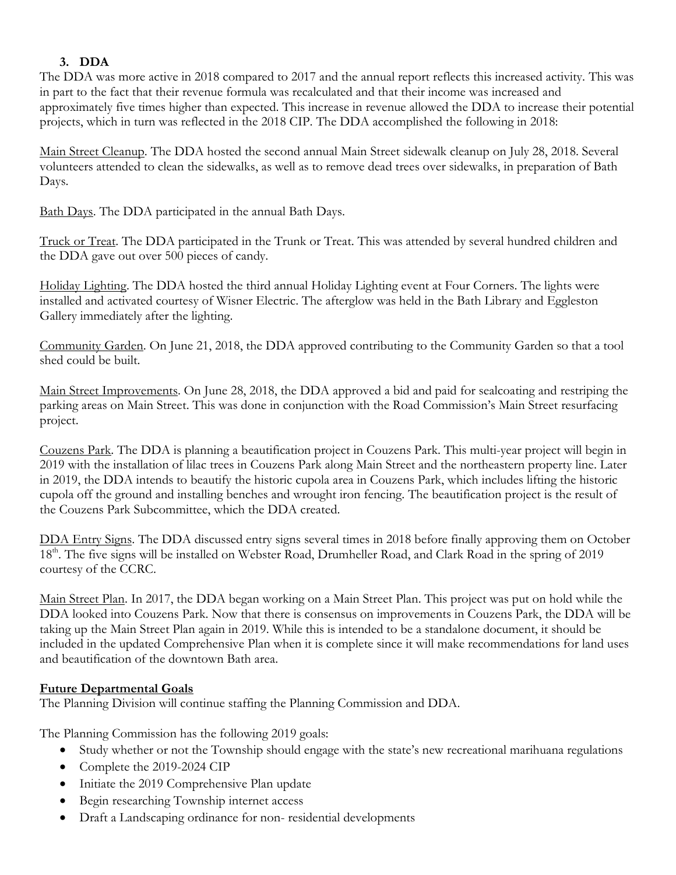## **3. DDA**

The DDA was more active in 2018 compared to 2017 and the annual report reflects this increased activity. This was in part to the fact that their revenue formula was recalculated and that their income was increased and approximately five times higher than expected. This increase in revenue allowed the DDA to increase their potential projects, which in turn was reflected in the 2018 CIP. The DDA accomplished the following in 2018:

Main Street Cleanup. The DDA hosted the second annual Main Street sidewalk cleanup on July 28, 2018. Several volunteers attended to clean the sidewalks, as well as to remove dead trees over sidewalks, in preparation of Bath Days.

Bath Days. The DDA participated in the annual Bath Days.

Truck or Treat. The DDA participated in the Trunk or Treat. This was attended by several hundred children and the DDA gave out over 500 pieces of candy.

Holiday Lighting. The DDA hosted the third annual Holiday Lighting event at Four Corners. The lights were installed and activated courtesy of Wisner Electric. The afterglow was held in the Bath Library and Eggleston Gallery immediately after the lighting.

Community Garden. On June 21, 2018, the DDA approved contributing to the Community Garden so that a tool shed could be built.

Main Street Improvements. On June 28, 2018, the DDA approved a bid and paid for sealcoating and restriping the parking areas on Main Street. This was done in conjunction with the Road Commission's Main Street resurfacing project.

Couzens Park. The DDA is planning a beautification project in Couzens Park. This multi-year project will begin in 2019 with the installation of lilac trees in Couzens Park along Main Street and the northeastern property line. Later in 2019, the DDA intends to beautify the historic cupola area in Couzens Park, which includes lifting the historic cupola off the ground and installing benches and wrought iron fencing. The beautification project is the result of the Couzens Park Subcommittee, which the DDA created.

DDA Entry Signs. The DDA discussed entry signs several times in 2018 before finally approving them on October 18<sup>th</sup>. The five signs will be installed on Webster Road, Drumheller Road, and Clark Road in the spring of 2019 courtesy of the CCRC.

Main Street Plan. In 2017, the DDA began working on a Main Street Plan. This project was put on hold while the DDA looked into Couzens Park. Now that there is consensus on improvements in Couzens Park, the DDA will be taking up the Main Street Plan again in 2019. While this is intended to be a standalone document, it should be included in the updated Comprehensive Plan when it is complete since it will make recommendations for land uses and beautification of the downtown Bath area.

#### **Future Departmental Goals**

The Planning Division will continue staffing the Planning Commission and DDA.

The Planning Commission has the following 2019 goals:

- Study whether or not the Township should engage with the state's new recreational marihuana regulations
- Complete the 2019-2024 CIP
- Initiate the 2019 Comprehensive Plan update
- Begin researching Township internet access
- Draft a Landscaping ordinance for non- residential developments